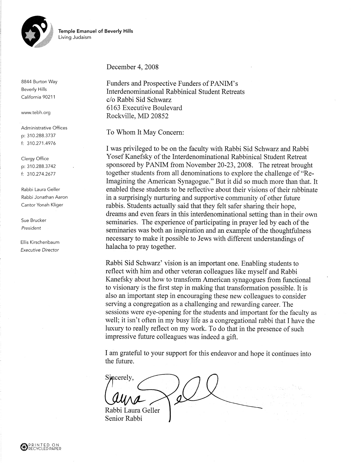



8844 Burton Way **Beverly Hills** California 90211

www.tebh.org

Administrative Offices p: 310.288.3737 f: 310.271.4976

Clergy Office p: 310.288.3742 f: 310.274.2677

Rabbi Laura Geller Rabbi Jonathan Aaron Cantor Yonah Kliger

Sue Brucker President

Ellis Kirschenbaum **Executive Director** 

# December 4, 2008

Funders and Prospective Funders of PANIM's Interdenominational Rabbinical Student Retreats c/o Rabbi Sid Schwarz 6163 Executive Boulevard Rockville, MD 20852

To Whom It May Concern:

I was privileged to be on the faculty with Rabbi Sid Schwarz and Rabbi Yosef Kanefsky of the Interdenominational Rabbinical Student Retreat sponsored by PANIM from November 20-23, 2008. The retreat brought together students from all denominations to explore the challenge of "Re-Imagining the American Synagogue." But it did so much more than that. It enabled these students to be reflective about their visions of their rabbinate in a surprisingly nurturing and supportive community of other future rabbis. Students actually said that they felt safer sharing their hope, dreams and even fears in this interdenominational setting than in their own seminaries. The experience of participating in prayer led by each of the seminaries was both an inspiration and an example of the thoughtfulness necessary to make it possible to Jews with different understandings of halacha to pray together.

Rabbi Sid Schwarz' vision is an important one. Enabling students to reflect with him and other veteran colleagues like myself and Rabbi Kanefsky about how to transform American synagogues from functional to visionary is the first step in making that transformation possible. It is also an important step in encouraging these new colleagues to consider serving a congregation as a challenging and rewarding career. The sessions were eye-opening for the students and important for the faculty as well; it isn't often in my busy life as a congregational rabbi that I have the luxury to really reflect on my work. To do that in the presence of such impressive future colleagues was indeed a gift.

I am grateful to your support for this endeavor and hope it continues into the future.

Sincerely. Rabbi Laura Geller Senior Rabbi

PRINTED ON<br>DECYCLED DADED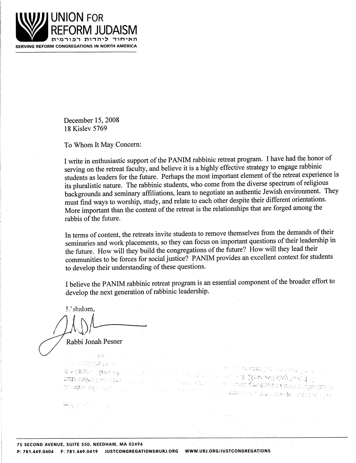

December 15, 2008 18 Kislev 5769

To Whom It May Concern:

I write in enthusiastic support of the PANIM rabbinic retreat program. I have had the honor of serving on the retreat faculty, and believe it is a highly effective strategy to engage rabbinic students as leaders for the future. Perhaps the most important element of the retreat experience is its pluralistic nature. The rabbinic students, who come from the diverse spectrum of religious backgrounds and seminary affiliations, learn to negotiate an authentic Jewish environment. They must find ways to worship, study, and relate to each other despite their different orientations. More important than the content of the retreat is the relationships that are forged among the rabbis of the future.

In terms of content, the retreats invite students to remove themselves from the demands of their seminaries and work placements, so they can focus on important questions of their leadership in the future. How will they build the congregations of the future? How will they lead their communities to be forces for social justice? PANIM provides an excellent context for students to develop their understanding of these questions.

I believe the PANIM rabbinic retreat program is an essential component of the broader effort to develop the next generation of rabbinic leadership.

he humu? How will disy jout dub

HO A TURN OF THE RUAN ME AND MAY THE

ាក់ លោក សុំណាមការក្រុមហ៊ុនអង្គរ**លើ ក្នុងអាជ្ញាស្រុក ស្ថិត្តិ ស្ថិតនៅ រី**គាររើ**ស្រុកជំនួន** នៃ

L'shalom.

Rabbi Jonah Pesner

i strandi

STICHTURG (S. 1981) WAYACHE ACA gu **SATH HANGA MA**L HOLE A

75 SECOND AVENUE, SUITE 550, NEEDHAM, MA 02494 P: 781.449.0404 F: 781.449.0419 JUSTCONGREGATIONS@URJ.ORG WWW.URJ.ORG/JUSTCONGREGATIONS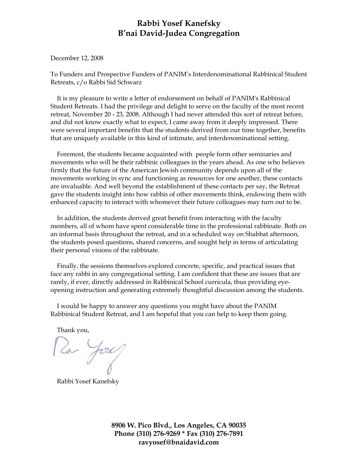# **Rabbi Yosef Kanefsky B'nai David-Judea Congregation**

December 12, 2008

To Funders and Prospective Funders of PANIM's Interdenominational Rabbinical Student Retreats, c/o Rabbi Sid Schwarz

 It is my pleasure to write a letter of endorsement on behalf of PANIM's Rabbinical Student Retreats. I had the privilege and delight to serve on the faculty of the most recent retreat, November 20 - 23, 2008. Although I had never attended this sort of retreat before, and did not know exactly what to expect, I came away from it deeply impressed. There were several important benefits that the students derived from our time together, benefits that are uniquely available in this kind of intimate, and interdenominational setting.

 Foremost, the students became acquainted with people form other seminaries and movements who will be their rabbinic colleagues in the years ahead. As one who believes firmly that the future of the American Jewish community depends upon all of the movements working in sync and functioning as resources for one another, these contacts are invaluable. And well beyond the establishment of these contacts per say, the Retreat gave the students insight into how rabbis of other movements think, endowing them with enhanced capacity to interact with whomever their future colleagues may turn out to be.

 In addition, the students derived great benefit from interacting with the faculty members, all of whom have spent considerable time in the professional rabbinate. Both on an informal basis throughout the retreat, and in a scheduled way on Shabbat afternoon, the students posed questions, shared concerns, and sought help in terms of articulating their personal visions of the rabbinate.

 Finally, the sessions themselves explored concrete, specific, and practical issues that face any rabbi in any congregational setting. I am confident that these are issues that are rarely, if ever, directly addressed in Rabbinical School curricula, thus providing eyeopening instruction and generating extremely thoughtful discussion among the students.

 I would be happy to answer any questions you might have about the PANIM Rabbinical Student Retreat, and I am hopeful that you can help to keep them going.

Thank you,

Ra Josep

Rabbi Yosef Kanefsky

**8906 W. Pico Blvd., Los Angeles, CA 90035 Phone (310) 276-9269 \* Fax (310) 276-7891 ravyosef@bnaidavid.com**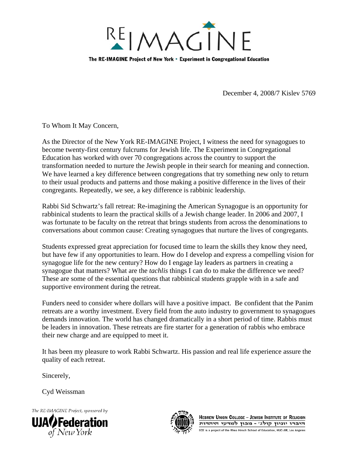

December 4, 2008/7 Kislev 5769

To Whom It May Concern,

As the Director of the New York RE-IMAGINE Project, I witness the need for synagogues to become twenty-first century fulcrums for Jewish life. The Experiment in Congregational Education has worked with over 70 congregations across the country to support the transformation needed to nurture the Jewish people in their search for meaning and connection. We have learned a key difference between congregations that try something new only to return to their usual products and patterns and those making a positive difference in the lives of their congregants. Repeatedly, we see, a key difference is rabbinic leadership.

Rabbi Sid Schwartz's fall retreat: Re-imagining the American Synagogue is an opportunity for rabbinical students to learn the practical skills of a Jewish change leader. In 2006 and 2007, I was fortunate to be faculty on the retreat that brings students from across the denominations to conversations about common cause: Creating synagogues that nurture the lives of congregants.

Students expressed great appreciation for focused time to learn the skills they know they need, but have few if any opportunities to learn. How do I develop and express a compelling vision for synagogue life for the new century? How do I engage lay leaders as partners in creating a synagogue that matters? What are the *tachlis* things I can do to make the difference we need? These are some of the essential questions that rabbinical students grapple with in a safe and supportive environment during the retreat.

Funders need to consider where dollars will have a positive impact. Be confident that the Panim retreats are a worthy investment. Every field from the auto industry to government to synagogues demands innovation. The world has changed dramatically in a short period of time. Rabbis must be leaders in innovation. These retreats are fire starter for a generation of rabbis who embrace their new charge and are equipped to meet it.

It has been my pleasure to work Rabbi Schwartz. His passion and real life experience assure the quality of each retreat.

Sincerely,

Cyd Weissman

The RE-IMAGINE Project, sponsored by





**HEBREW UNION COLLEGE - JEWISH INSTITUTE OF RELIGION** היברו יוניון קולג' - מכון למדעי היהדות ECE is a project of the Rhea Hirsch School of Education, HUC-JIR, Los Angeles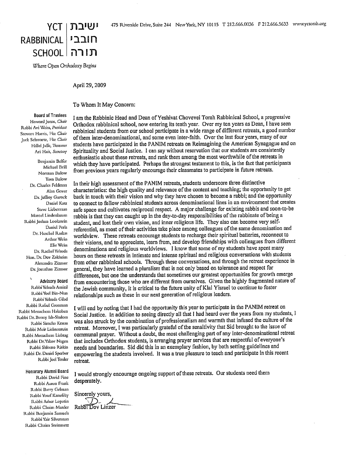

Where Open Orthodoxy Begins

April 29, 2009

## To Whom It May Concern:

#### **Board of Truslees**

Howard Jonas, Chair Rabbi Avi Weiss, President Stewart Harris, Vice Chair Jack Schwartz, Fice Chair Hillel Jaffe, Treasurer Ari Hait, Secretary

Benjamin Belfer Michael Brill Norman Bulow Tova Bulow Dr. Charles Feldman Alan Gover Dr. Jeffrey Gurock Daniel Katz Steve Lieberman Marcel Lindenbaum Rabbi Joshua Lookstein Daniel Perla Dr. Heschel Raskas **Arthur Weiss Elic Weiss** Dr. Rachel Yehuda Hon, Dr. Dov Zakheim Alexandra Zizmor Dr. Jonathan Zizmor

**Advisory Board** Rabbi Yehuda Amital Rabbi Yoel Bin-Nun Rabbi Yehuda Gilad Rabbi Rafael Grossman Rabbi Menachem Hakohen Rabbi Dr. Benny Ish-Shalom Rabbi Simcha Krauss Rabbi Meir Lichtenstein Rabbi Menachem Liebtag Rabbi Dr.Yakov Nagen Rabbi Shlomo Riskin Rabbi Dr. Daniel Sperber Rabbi Joel Tessler

### Honorary Alumni Board

Rabbi David Fine Rabbi Aaron Frank Rabbi Barry Gelman Rabbi Yosef Kanefsky Rabbi Asher Lopatin Rabbi Chaim Marder Rabbi Benjamin Samuels Rabbi Yair Silverman Rabbi Chaim Steinmetz

I am the Rabbinic Head and Dean of Yeshivat Chovevei Torah Rabbinical School, a progressive Orthodox rabbinical school, now entering its tenth year. Over my ten years as Dean, I have seen rabbinical students from our school participate in a wide range of different retreats, a good number of them inter-denominational, and some even inter-faith. Over the last four years, many of our students have participated in the PANIM retreats on Reimagining the American Synagogue and on Spirituality and Social Justice. I can say without reservation that our students are consistently enthusiastic about these retreats, and rank them among the most worthwhile of the retreats in which they have participated. Perhaps the strongest testament to this, is the fact that participants from previous years regularly encourage their classmates to participate in future retreats.

In their high assessment of the PANIM retreats, students underscore three distinctive characteristics: the high quality and relevance of the content and teaching; the opportunity to get back in touch with their vision and why they have chosen to become a rabbi; and the opportunity to connect to fellow rabbinical students across denominational lines in an environment that creates safe space and cultivates reciprocal respect. A major challenge for existing rabbis and soon-to-be rabbis is that they can caught up in the day-to-day responsibilities of the rabbinate of being a student, and lost their own vision, and inner religious life. They also can become very selfreferential, as most of their activities take place among colleagues of the same denomination and worldview. These retreats encourage students to recharge their spiritual batteries, reconnect to their visions, and to appreciate, learn from, and develop friendships with colleagues from different denominations and religious worldviews. I know that some of my students have spent many hours on these retreats in intimate and intense spiritual and religious conversations with students from other rabbinical schools. Through these conversations, and through the retreat experience in general, they have learned a pluralism that is not only based on tolerance and respect for differences, but one the understands that sometimes our greatest opportunities for growth emerge from encountering those who are different from ourselves. Given the highly fragmented nature of the Jewish community, it is critical to the future unity of Klal Yisrael to continue to foster relationships such as these in our next generation of religious leaders.

I will end by noting that I had the opportunity this year to participate in the PANIM retreat on Social Justice. In addition to seeing directly all that I had heard over the years from my students, I was also struck by the combination of professionalism and warmth that infused the culture of the retreat. Moreover, I was particularly grateful of the sensitivity that Sid brought to the issue of communal prayer. Without a doubt, the most challenging part of any inter-denominational retreat that includes Orthodox students, is arranging prayer services that are respectful of everyone's needs and boundaries. Sid did this in an exemplary fashion, by both setting guidelines and empowering the students involved. It was a true pleasure to teach and participate in this recent retreat.

I would strongly encourage ongoing support of these retreats. Our students need them desperately.

Sincerely yours,

Rabbi Dov Linzer